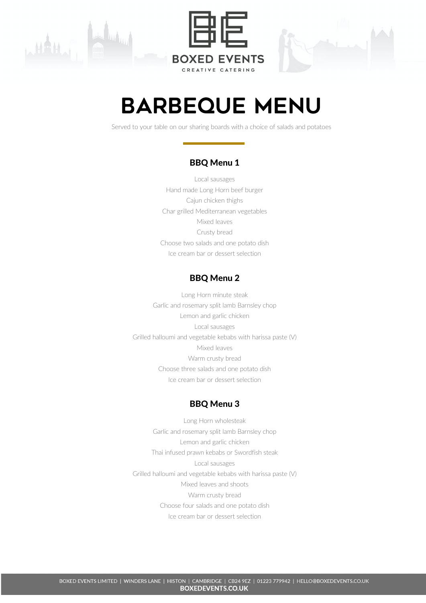



# Barbeque menu

Served to your table on our sharing boards with a choice of salads and potatoes

### BBQ Menu 1

Local sausages Hand made Long Horn beef burger Cajun chicken thighs Char grilled Mediterranean vegetables Mixed leaves Crusty bread Choose two salads and one potato dish Ice cream bar or dessert selection

## BBQ Menu 2

Long Horn minute steak Garlic and rosemary split lamb Barnsley chop Lemon and garlic chicken Local sausages Grilled halloumi and vegetable kebabs with harissa paste (V) Mixed leaves Warm crusty bread Choose three salads and one potato dish Ice cream bar or dessert selection

### BBQ Menu 3

Long Horn wholesteak Garlic and rosemary split lamb Barnsley chop Lemon and garlic chicken Thai infused prawn kebabs or Swordfish steak Local sausages Grilled halloumi and vegetable kebabs with harissa paste (V) Mixed leaves and shoots Warm crusty bread Choose four salads and one potato dish Ice cream bar or dessert selection